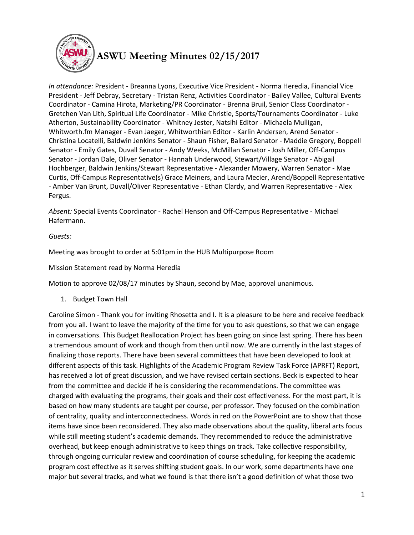

## **ASWU Meeting Minutes 02/15/2017**

*In attendance:* President - Breanna Lyons, Executive Vice President - Norma Heredia, Financial Vice President - Jeff Debray, Secretary - Tristan Renz, Activities Coordinator - Bailey Vallee, Cultural Events Coordinator - Camina Hirota, Marketing/PR Coordinator - Brenna Bruil, Senior Class Coordinator - Gretchen Van Lith, Spiritual Life Coordinator - Mike Christie, Sports/Tournaments Coordinator - Luke Atherton, Sustainability Coordinator - Whitney Jester, Natsihi Editor - Michaela Mulligan, Whitworth.fm Manager - Evan Jaeger, Whitworthian Editor - Karlin Andersen, Arend Senator - Christina Locatelli, Baldwin Jenkins Senator - Shaun Fisher, Ballard Senator - Maddie Gregory, Boppell Senator - Emily Gates, Duvall Senator - Andy Weeks, McMillan Senator - Josh Miller, Off-Campus Senator - Jordan Dale, Oliver Senator - Hannah Underwood, Stewart/Village Senator - Abigail Hochberger, Baldwin Jenkins/Stewart Representative - Alexander Mowery, Warren Senator - Mae Curtis, Off-Campus Representative(s) Grace Meiners, and Laura Mecier, Arend/Boppell Representative - Amber Van Brunt, Duvall/Oliver Representative - Ethan Clardy, and Warren Representative - Alex Fergus.

*Absent:* Special Events Coordinator - Rachel Henson and Off-Campus Representative - Michael Hafermann.

## *Guests:*

Meeting was brought to order at 5:01pm in the HUB Multipurpose Room

Mission Statement read by Norma Heredia

Motion to approve 02/08/17 minutes by Shaun, second by Mae, approval unanimous.

1. Budget Town Hall

Caroline Simon - Thank you for inviting Rhosetta and I. It is a pleasure to be here and receive feedback from you all. I want to leave the majority of the time for you to ask questions, so that we can engage in conversations. This Budget Reallocation Project has been going on since last spring. There has been a tremendous amount of work and though from then until now. We are currently in the last stages of finalizing those reports. There have been several committees that have been developed to look at different aspects of this task. Highlights of the Academic Program Review Task Force (APRFT) Report, has received a lot of great discussion, and we have revised certain sections. Beck is expected to hear from the committee and decide if he is considering the recommendations. The committee was charged with evaluating the programs, their goals and their cost effectiveness. For the most part, it is based on how many students are taught per course, per professor. They focused on the combination of centrality, quality and interconnectedness. Words in red on the PowerPoint are to show that those items have since been reconsidered. They also made observations about the quality, liberal arts focus while still meeting student's academic demands. They recommended to reduce the administrative overhead, but keep enough administrative to keep things on track. Take collective responsibility, through ongoing curricular review and coordination of course scheduling, for keeping the academic program cost effective as it serves shifting student goals. In our work, some departments have one major but several tracks, and what we found is that there isn't a good definition of what those two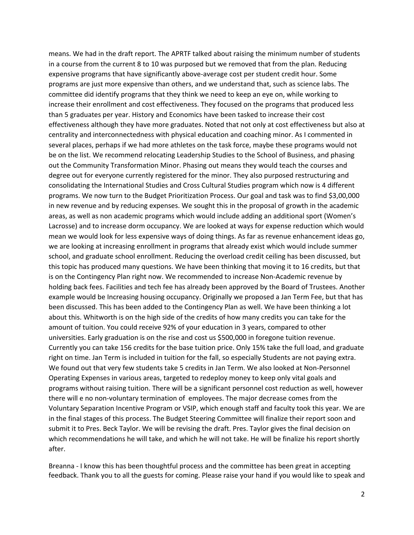means. We had in the draft report. The APRTF talked about raising the minimum number of students in a course from the current 8 to 10 was purposed but we removed that from the plan. Reducing expensive programs that have significantly above-average cost per student credit hour. Some programs are just more expensive than others, and we understand that, such as science labs. The committee did identify programs that they think we need to keep an eye on, while working to increase their enrollment and cost effectiveness. They focused on the programs that produced less than 5 graduates per year. History and Economics have been tasked to increase their cost effectiveness although they have more graduates. Noted that not only at cost effectiveness but also at centrality and interconnectedness with physical education and coaching minor. As I commented in several places, perhaps if we had more athletes on the task force, maybe these programs would not be on the list. We recommend relocating Leadership Studies to the School of Business, and phasing out the Community Transformation Minor. Phasing out means they would teach the courses and degree out for everyone currently registered for the minor. They also purposed restructuring and consolidating the International Studies and Cross Cultural Studies program which now is 4 different programs. We now turn to the Budget Prioritization Process. Our goal and task was to find \$3,00,000 in new revenue and by reducing expenses. We sought this in the proposal of growth in the academic areas, as well as non academic programs which would include adding an additional sport (Women's Lacrosse) and to increase dorm occupancy. We are looked at ways for expense reduction which would mean we would look for less expensive ways of doing things. As far as revenue enhancement ideas go, we are looking at increasing enrollment in programs that already exist which would include summer school, and graduate school enrollment. Reducing the overload credit ceiling has been discussed, but this topic has produced many questions. We have been thinking that moving it to 16 credits, but that is on the Contingency Plan right now. We recommended to increase Non-Academic revenue by holding back fees. Facilities and tech fee has already been approved by the Board of Trustees. Another example would be Increasing housing occupancy. Originally we proposed a Jan Term Fee, but that has been discussed. This has been added to the Contingency Plan as well. We have been thinking a lot about this. Whitworth is on the high side of the credits of how many credits you can take for the amount of tuition. You could receive 92% of your education in 3 years, compared to other universities. Early graduation is on the rise and cost us \$500,000 in foregone tuition revenue. Currently you can take 156 credits for the base tuition price. Only 15% take the full load, and graduate right on time. Jan Term is included in tuition for the fall, so especially Students are not paying extra. We found out that very few students take 5 credits in Jan Term. We also looked at Non-Personnel Operating Expenses in various areas, targeted to redeploy money to keep only vital goals and programs without raising tuition. There will be a significant personnel cost reduction as well, however there will e no non-voluntary termination of employees. The major decrease comes from the Voluntary Separation Incentive Program or VSIP, which enough staff and faculty took this year. We are in the final stages of this process. The Budget Steering Committee will finalize their report soon and submit it to Pres. Beck Taylor. We will be revising the draft. Pres. Taylor gives the final decision on which recommendations he will take, and which he will not take. He will be finalize his report shortly after.

Breanna - I know this has been thoughtful process and the committee has been great in accepting feedback. Thank you to all the guests for coming. Please raise your hand if you would like to speak and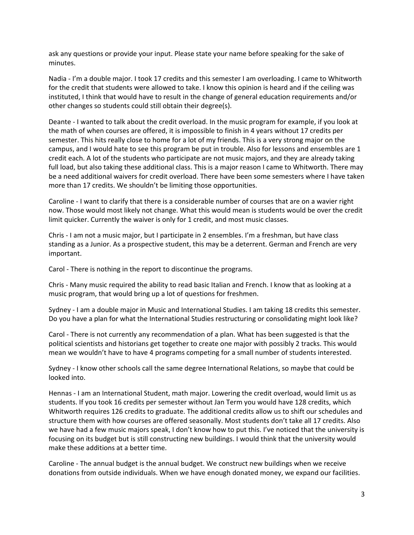ask any questions or provide your input. Please state your name before speaking for the sake of minutes.

Nadia - I'm a double major. I took 17 credits and this semester I am overloading. I came to Whitworth for the credit that students were allowed to take. I know this opinion is heard and if the ceiling was instituted, I think that would have to result in the change of general education requirements and/or other changes so students could still obtain their degree(s).

Deante - I wanted to talk about the credit overload. In the music program for example, if you look at the math of when courses are offered, it is impossible to finish in 4 years without 17 credits per semester. This hits really close to home for a lot of my friends. This is a very strong major on the campus, and I would hate to see this program be put in trouble. Also for lessons and ensembles are 1 credit each. A lot of the students who participate are not music majors, and they are already taking full load, but also taking these additional class. This is a major reason I came to Whitworth. There may be a need additional waivers for credit overload. There have been some semesters where I have taken more than 17 credits. We shouldn't be limiting those opportunities.

Caroline - I want to clarify that there is a considerable number of courses that are on a wavier right now. Those would most likely not change. What this would mean is students would be over the credit limit quicker. Currently the waiver is only for 1 credit, and most music classes.

Chris - I am not a music major, but I participate in 2 ensembles. I'm a freshman, but have class standing as a Junior. As a prospective student, this may be a deterrent. German and French are very important.

Carol - There is nothing in the report to discontinue the programs.

Chris - Many music required the ability to read basic Italian and French. I know that as looking at a music program, that would bring up a lot of questions for freshmen.

Sydney - I am a double major in Music and International Studies. I am taking 18 credits this semester. Do you have a plan for what the International Studies restructuring or consolidating might look like?

Carol - There is not currently any recommendation of a plan. What has been suggested is that the political scientists and historians get together to create one major with possibly 2 tracks. This would mean we wouldn't have to have 4 programs competing for a small number of students interested.

Sydney - I know other schools call the same degree International Relations, so maybe that could be looked into.

Hennas - I am an International Student, math major. Lowering the credit overload, would limit us as students. If you took 16 credits per semester without Jan Term you would have 128 credits, which Whitworth requires 126 credits to graduate. The additional credits allow us to shift our schedules and structure them with how courses are offered seasonally. Most students don't take all 17 credits. Also we have had a few music majors speak, I don't know how to put this. I've noticed that the university is focusing on its budget but is still constructing new buildings. I would think that the university would make these additions at a better time.

Caroline - The annual budget is the annual budget. We construct new buildings when we receive donations from outside individuals. When we have enough donated money, we expand our facilities.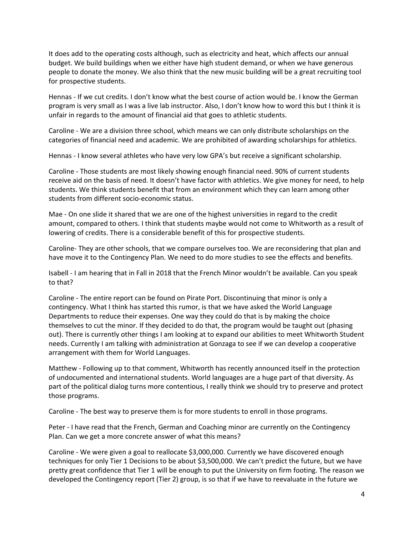It does add to the operating costs although, such as electricity and heat, which affects our annual budget. We build buildings when we either have high student demand, or when we have generous people to donate the money. We also think that the new music building will be a great recruiting tool for prospective students.

Hennas - If we cut credits. I don't know what the best course of action would be. I know the German program is very small as I was a live lab instructor. Also, I don't know how to word this but I think it is unfair in regards to the amount of financial aid that goes to athletic students.

Caroline - We are a division three school, which means we can only distribute scholarships on the categories of financial need and academic. We are prohibited of awarding scholarships for athletics.

Hennas - I know several athletes who have very low GPA's but receive a significant scholarship.

Caroline - Those students are most likely showing enough financial need. 90% of current students receive aid on the basis of need. It doesn't have factor with athletics. We give money for need, to help students. We think students benefit that from an environment which they can learn among other students from different socio-economic status.

Mae - On one slide it shared that we are one of the highest universities in regard to the credit amount, compared to others. I think that students maybe would not come to Whitworth as a result of lowering of credits. There is a considerable benefit of this for prospective students.

Caroline- They are other schools, that we compare ourselves too. We are reconsidering that plan and have move it to the Contingency Plan. We need to do more studies to see the effects and benefits.

Isabell - I am hearing that in Fall in 2018 that the French Minor wouldn't be available. Can you speak to that?

Caroline - The entire report can be found on Pirate Port. Discontinuing that minor is only a contingency. What I think has started this rumor, is that we have asked the World Language Departments to reduce their expenses. One way they could do that is by making the choice themselves to cut the minor. If they decided to do that, the program would be taught out (phasing out). There is currently other things I am looking at to expand our abilities to meet Whitworth Student needs. Currently I am talking with administration at Gonzaga to see if we can develop a cooperative arrangement with them for World Languages.

Matthew - Following up to that comment, Whitworth has recently announced itself in the protection of undocumented and international students. World languages are a huge part of that diversity. As part of the political dialog turns more contentious, I really think we should try to preserve and protect those programs.

Caroline - The best way to preserve them is for more students to enroll in those programs.

Peter - I have read that the French, German and Coaching minor are currently on the Contingency Plan. Can we get a more concrete answer of what this means?

Caroline - We were given a goal to reallocate \$3,000,000. Currently we have discovered enough techniques for only Tier 1 Decisions to be about \$3,500,000. We can't predict the future, but we have pretty great confidence that Tier 1 will be enough to put the University on firm footing. The reason we developed the Contingency report (Tier 2) group, is so that if we have to reevaluate in the future we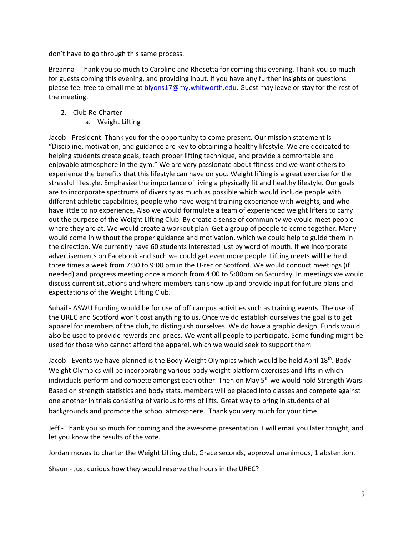don't have to go through this same process.

Breanna - Thank you so much to Caroline and Rhosetta for coming this evening. Thank you so much for guests coming this evening, and providing input. If you have any further insights or questions please feel free to email me at **blyons17@my.whitworth.edu**. Guest may leave or stay for the rest of the meeting.

- 2. Club Re-Charter
	- a. Weight Lifting

Jacob - President. Thank you for the opportunity to come present. Our mission statement is "Discipline, motivation, and guidance are key to obtaining a healthy lifestyle. We are dedicated to helping students create goals, teach proper lifting technique, and provide a comfortable and enjoyable atmosphere in the gym." We are very passionate about fitness and we want others to experience the benefits that this lifestyle can have on you. Weight lifting is a great exercise for the stressful lifestyle. Emphasize the importance of living a physically fit and healthy lifestyle. Our goals are to incorporate spectrums of diversity as much as possible which would include people with different athletic capabilities, people who have weight training experience with weights, and who have little to no experience. Also we would formulate a team of experienced weight lifters to carry out the purpose of the Weight Lifting Club. By create a sense of community we would meet people where they are at. We would create a workout plan. Get a group of people to come together. Many would come in without the proper guidance and motivation, which we could help to guide them in the direction. We currently have 60 students interested just by word of mouth. If we incorporate advertisements on Facebook and such we could get even more people. Lifting meets will be held three times a week from 7:30 to 9:00 pm in the U-rec or Scotford. We would conduct meetings (if needed) and progress meeting once a month from 4:00 to 5:00pm on Saturday. In meetings we would discuss current situations and where members can show up and provide input for future plans and expectations of the Weight Lifting Club.

Suhail - ASWU Funding would be for use of off campus activities such as training events. The use of the UREC and Scotford won't cost anything to us. Once we do establish ourselves the goal is to get apparel for members of the club, to distinguish ourselves. We do have a graphic design. Funds would also be used to provide rewards and prizes. We want all people to participate. Some funding might be used for those who cannot afford the apparel, which we would seek to support them

Jacob - Events we have planned is the Body Weight Olympics which would be held April 18<sup>th</sup>. Body Weight Olympics will be incorporating various body weight platform exercises and lifts in which individuals perform and compete amongst each other. Then on May  $5<sup>th</sup>$  we would hold Strength Wars. Based on strength statistics and body stats, members will be placed into classes and compete against one another in trials consisting of various forms of lifts. Great way to bring in students of all backgrounds and promote the school atmosphere. Thank you very much for your time.

Jeff - Thank you so much for coming and the awesome presentation. I will email you later tonight, and let you know the results of the vote.

Jordan moves to charter the Weight Lifting club, Grace seconds, approval unanimous, 1 abstention.

Shaun - Just curious how they would reserve the hours in the UREC?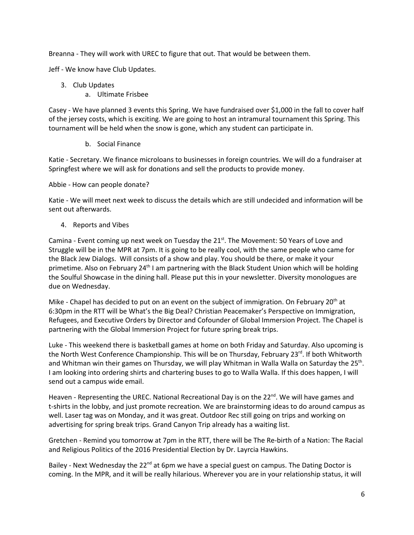Breanna - They will work with UREC to figure that out. That would be between them.

Jeff - We know have Club Updates.

- 3. Club Updates
	- a. Ultimate Frisbee

Casey - We have planned 3 events this Spring. We have fundraised over \$1,000 in the fall to cover half of the jersey costs, which is exciting. We are going to host an intramural tournament this Spring. This tournament will be held when the snow is gone, which any student can participate in.

b. Social Finance

Katie - Secretary. We finance microloans to businesses in foreign countries. We will do a fundraiser at Springfest where we will ask for donations and sell the products to provide money.

Abbie - How can people donate?

Katie - We will meet next week to discuss the details which are still undecided and information will be sent out afterwards.

4. Reports and Vibes

Camina - Event coming up next week on Tuesday the  $21<sup>st</sup>$ . The Movement: 50 Years of Love and Struggle will be in the MPR at 7pm. It is going to be really cool, with the same people who came for the Black Jew Dialogs. Will consists of a show and play. You should be there, or make it your primetime. Also on February  $24<sup>th</sup>$  I am partnering with the Black Student Union which will be holding the Soulful Showcase in the dining hall. Please put this in your newsletter. Diversity monologues are due on Wednesday.

Mike - Chapel has decided to put on an event on the subject of immigration. On February 20<sup>th</sup> at 6:30pm in the RTT will be What's the Big Deal? Christian Peacemaker's Perspective on Immigration, Refugees, and Executive Orders by Director and Cofounder of Global Immersion Project. The Chapel is partnering with the Global Immersion Project for future spring break trips.

Luke - This weekend there is basketball games at home on both Friday and Saturday. Also upcoming is the North West Conference Championship. This will be on Thursday, February 23<sup>rd</sup>. If both Whitworth and Whitman win their games on Thursday, we will play Whitman in Walla Walla on Saturday the 25<sup>th</sup>. I am looking into ordering shirts and chartering buses to go to Walla Walla. If this does happen, I will send out a campus wide email.

Heaven - Representing the UREC. National Recreational Day is on the 22<sup>nd</sup>. We will have games and t-shirts in the lobby, and just promote recreation. We are brainstorming ideas to do around campus as well. Laser tag was on Monday, and it was great. Outdoor Rec still going on trips and working on advertising for spring break trips. Grand Canyon Trip already has a waiting list.

Gretchen - Remind you tomorrow at 7pm in the RTT, there will be The Re-birth of a Nation: The Racial and Religious Politics of the 2016 Presidential Election by Dr. Layrcia Hawkins.

Bailey - Next Wednesday the 22<sup>nd</sup> at 6pm we have a special guest on campus. The Dating Doctor is coming. In the MPR, and it will be really hilarious. Wherever you are in your relationship status, it will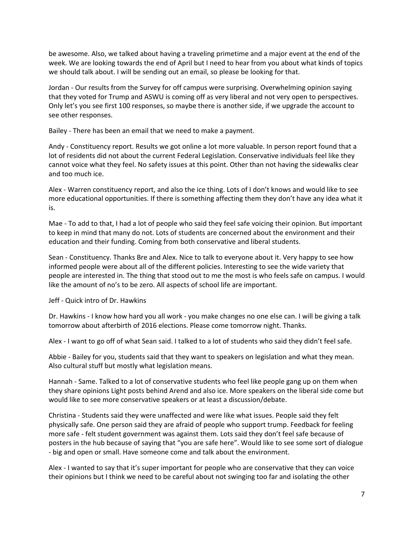be awesome. Also, we talked about having a traveling primetime and a major event at the end of the week. We are looking towards the end of April but I need to hear from you about what kinds of topics we should talk about. I will be sending out an email, so please be looking for that.

Jordan - Our results from the Survey for off campus were surprising. Overwhelming opinion saying that they voted for Trump and ASWU is coming off as very liberal and not very open to perspectives. Only let's you see first 100 responses, so maybe there is another side, if we upgrade the account to see other responses.

Bailey - There has been an email that we need to make a payment.

Andy - Constituency report. Results we got online a lot more valuable. In person report found that a lot of residents did not about the current Federal Legislation. Conservative individuals feel like they cannot voice what they feel. No safety issues at this point. Other than not having the sidewalks clear and too much ice.

Alex - Warren constituency report, and also the ice thing. Lots of I don't knows and would like to see more educational opportunities. If there is something affecting them they don't have any idea what it is.

Mae - To add to that, I had a lot of people who said they feel safe voicing their opinion. But important to keep in mind that many do not. Lots of students are concerned about the environment and their education and their funding. Coming from both conservative and liberal students.

Sean - Constituency. Thanks Bre and Alex. Nice to talk to everyone about it. Very happy to see how informed people were about all of the different policies. Interesting to see the wide variety that people are interested in. The thing that stood out to me the most is who feels safe on campus. I would like the amount of no's to be zero. All aspects of school life are important.

Jeff - Quick intro of Dr. Hawkins

Dr. Hawkins - I know how hard you all work - you make changes no one else can. I will be giving a talk tomorrow about afterbirth of 2016 elections. Please come tomorrow night. Thanks.

Alex - I want to go off of what Sean said. I talked to a lot of students who said they didn't feel safe.

Abbie - Bailey for you, students said that they want to speakers on legislation and what they mean. Also cultural stuff but mostly what legislation means.

Hannah - Same. Talked to a lot of conservative students who feel like people gang up on them when they share opinions Light posts behind Arend and also ice. More speakers on the liberal side come but would like to see more conservative speakers or at least a discussion/debate.

Christina - Students said they were unaffected and were like what issues. People said they felt physically safe. One person said they are afraid of people who support trump. Feedback for feeling more safe - felt student government was against them. Lots said they don't feel safe because of posters in the hub because of saying that "you are safe here". Would like to see some sort of dialogue - big and open or small. Have someone come and talk about the environment.

Alex - I wanted to say that it's super important for people who are conservative that they can voice their opinions but I think we need to be careful about not swinging too far and isolating the other